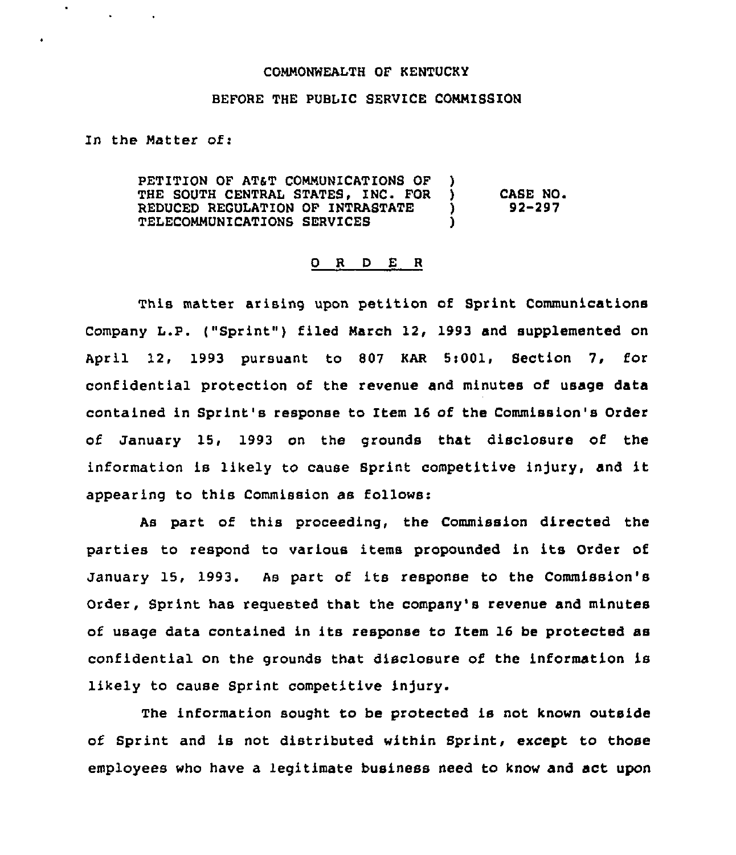## COMMONNEALTH OF KENTUCKy

## BEFORE THE PUBLIC SERVICE COMMISSION

In the Matter of:

 $\mathcal{A}^{\mathcal{A}}$  , and  $\mathcal{A}^{\mathcal{A}}$ 

 $\bullet$ 

PETITION OF AT&T COMMUNICATIONS OF )<br>THE SOUTH CENTRAL STATES. INC. FOR ) THE SOUTH CENTRAL STATES, INC. FOR  $\big)$  CASE NO.<br>REDUCED REGULATION OF INTRASTATE  $\big)$  92-297 REDUCED REGULATION OF INTRASTATE TELECOMMUNICATIONS SERVICES )

## 0 R <sup>D</sup> E <sup>R</sup>

This matter arising upon petition of Sprint Communications Company L.P. ("Sprint"} filed March 12, 1993 and supplemented on April 12, 1993 pursuant to 807 KAR 5:001, Section 7, for confidential protection of the revenue and minutes of usage data contained in Sprint's response to Item 16 of the Commission's Order of January 15, 1993 on the grounds that disclosure of the information is likely to cause Sprint competitive injury, and it appearing to this Commission as follows:

As part of this proceeding, the Commission directed the parties to respond to various items propounded in its Order of January 15, 1993. As part of its response to the Commission's Order, Sprint has requested that the company's revenue and minutes of usage data contained in its response to Item 16 be protected as confidential on the grounds that disclosure of the information is likely to cause Sprint competitive injury.

The information sought to be protected is not known outside of Sprint and is not distributed within Sprint, except to those employees who have a legitimate business need to know and act upon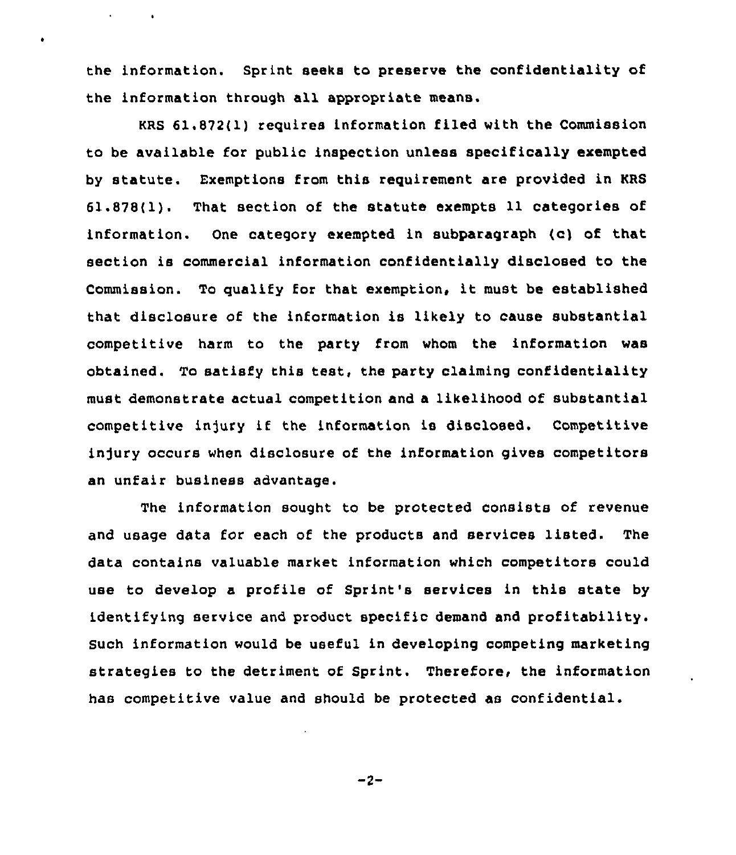the information. Sprint seeks to preserve the confidentiality of the information through all appropriate means.

 $\bullet$ 

 $\bullet$ 

KRS 61.872(1) requires information filed with the Commission to be available for public inspection unless specifically exempted by statute. Exemptions from this requirement are provided in KRS 61.878(1). That section of the statute exempts 11 categories of information. One category exempted in subparagraph (c) of that section is commercial information confidentially disclosed to the Commission. To qualify for that exemption, it must be established that disclosure of the information is likely to cause substantial competitive harm to the party from whom the information was obtained. To satisfy this test, the party claiming confidentiality must demonstrate actual competition and a likelihood of substantial competitive injury if the information is disclosed. Competitive injury occurs when disclosure of the information gives competitors an unfair business advantage.

The information sought to be protected consists of revenue and usage data for each of the products and services listed. The data contains valuable market information which competitors could use to develop a profile of Sprint's services in this state by identifying service and product specific demand and profitability. Such information would be useful in developing competing marketing strategies to the detriment of Sprint. Therefore, the information has competitive value and should be protected as confidential.

 $-2-$